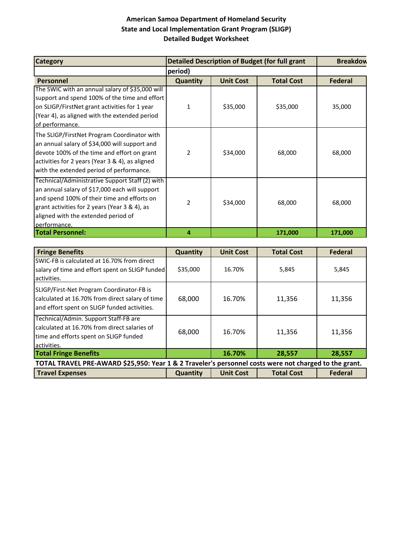| <b>Category</b>                                                                                                                                                                                                                                          |                          |                  | <b>Detailed Description of Budget (for full grant</b> | <b>Breakdow</b> |
|----------------------------------------------------------------------------------------------------------------------------------------------------------------------------------------------------------------------------------------------------------|--------------------------|------------------|-------------------------------------------------------|-----------------|
|                                                                                                                                                                                                                                                          | period)                  |                  |                                                       |                 |
| <b>Personnel</b>                                                                                                                                                                                                                                         | Quantity                 | <b>Unit Cost</b> | <b>Total Cost</b>                                     | <b>Federal</b>  |
| The SWIC with an annual salary of \$35,000 will<br>support and spend 100% of the time and effort<br>on SLIGP/FirstNet grant activities for 1 year<br>(Year 4), as aligned with the extended period<br>of performance.                                    | 1                        | \$35,000         | \$35,000                                              | 35,000          |
| The SLIGP/FirstNet Program Coordinator with<br>an annual salary of \$34,000 will support and<br>devote 100% of the time and effort on grant<br>activities for 2 years (Year 3 & 4), as aligned<br>with the extended period of performance.               | 2                        | \$34,000         | 68,000                                                | 68,000          |
| Technical/Administrative Support Staff (2) with<br>an annual salary of \$17,000 each will support<br>and spend 100% of their time and efforts on<br>grant activities for 2 years (Year 3 & 4), as<br>aligned with the extended period of<br>performance. | $\overline{\mathcal{L}}$ | \$34,000         | 68,000                                                | 68,000          |
| <b>Total Personnel:</b>                                                                                                                                                                                                                                  | 4                        |                  | 171,000                                               | 171,000         |

| <b>Fringe Benefits</b>                                                                                                                         | <b>Quantity</b> | <b>Unit Cost</b> | <b>Total Cost</b> | <b>Federal</b> |
|------------------------------------------------------------------------------------------------------------------------------------------------|-----------------|------------------|-------------------|----------------|
| SWIC-FB is calculated at 16.70% from direct<br>salary of time and effort spent on SLIGP funded<br>activities.                                  | \$35,000        | 16.70%           | 5,845             | 5,845          |
| SLIGP/First-Net Program Coordinator-FB is<br>calculated at 16.70% from direct salary of time<br>and effort spent on SLIGP funded activities.   | 68,000          | 16.70%           | 11,356            | 11,356         |
| Technical/Admin. Support Staff-FB are<br>calculated at 16.70% from direct salaries of<br>time and efforts spent on SLIGP funded<br>activities. | 68,000          | 16.70%           | 11,356            | 11,356         |
| <b>Total Fringe Benefits</b>                                                                                                                   |                 | 16.70%           | 28,557            | 28,557         |
| TOTAL TRAVEL PRE-AWARD \$25,950: Year 1 & 2 Traveler's personnel costs were not charged to the grant.                                          |                 |                  |                   |                |
| <b>Travel Expenses</b>                                                                                                                         | <b>Quantity</b> | <b>Unit Cost</b> | <b>Total Cost</b> | <b>Federal</b> |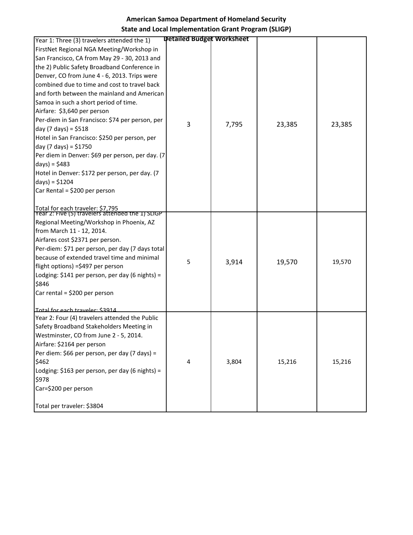| Year 1: Three (3) travelers attended the 1)                                          | <b>Detailed Budget Worksheet</b> |       |        |        |
|--------------------------------------------------------------------------------------|----------------------------------|-------|--------|--------|
| FirstNet Regional NGA Meeting/Workshop in                                            |                                  |       |        |        |
| San Francisco, CA from May 29 - 30, 2013 and                                         |                                  |       |        |        |
| the 2) Public Safety Broadband Conference in                                         |                                  |       |        |        |
| Denver, CO from June 4 - 6, 2013. Trips were                                         |                                  |       |        |        |
| combined due to time and cost to travel back                                         |                                  |       |        |        |
| and forth between the mainland and American                                          |                                  |       |        |        |
| Samoa in such a short period of time.                                                |                                  |       |        |        |
| Airfare: \$3,640 per person                                                          |                                  |       |        |        |
| Per-diem in San Francisco: \$74 per person, per                                      | 3                                |       |        |        |
| day (7 days) = $$518$                                                                |                                  | 7,795 | 23,385 | 23,385 |
| Hotel in San Francisco: \$250 per person, per                                        |                                  |       |        |        |
| day (7 days) = $$1750$                                                               |                                  |       |        |        |
| Per diem in Denver: \$69 per person, per day. (7                                     |                                  |       |        |        |
| $days) = $483$                                                                       |                                  |       |        |        |
| Hotel in Denver: \$172 per person, per day. (7                                       |                                  |       |        |        |
| $days) = $1204$                                                                      |                                  |       |        |        |
| Car Rental = \$200 per person                                                        |                                  |       |        |        |
|                                                                                      |                                  |       |        |        |
| Total for each traveler: \$7,795<br>Year 2: Five (5) travelers attended the 1) SLIGP |                                  |       |        |        |
| Regional Meeting/Workshop in Phoenix, AZ                                             |                                  |       |        |        |
| from March 11 - 12, 2014.                                                            |                                  |       |        |        |
| Airfares cost \$2371 per person.                                                     |                                  |       |        |        |
| Per-diem: \$71 per person, per day (7 days total                                     |                                  |       |        |        |
| because of extended travel time and minimal                                          |                                  |       |        |        |
| flight options) =\$497 per person                                                    | 5                                | 3,914 | 19,570 | 19,570 |
| Lodging: \$141 per person, per day (6 nights) =                                      |                                  |       |        |        |
| \$846                                                                                |                                  |       |        |        |
| Car rental = $$200$ per person                                                       |                                  |       |        |        |
|                                                                                      |                                  |       |        |        |
| Total for each traveler: \$3914                                                      |                                  |       |        |        |
| Year 2: Four (4) travelers attended the Public                                       |                                  |       |        |        |
| Safety Broadband Stakeholders Meeting in                                             |                                  |       |        |        |
| Westminster, CO from June 2 - 5, 2014.                                               |                                  |       |        |        |
| Airfare: \$2164 per person                                                           |                                  |       |        |        |
| Per diem: \$66 per person, per day (7 days) =                                        |                                  |       |        |        |
| \$462                                                                                | 4                                | 3,804 | 15,216 | 15,216 |
| Lodging: \$163 per person, per day (6 nights) =                                      |                                  |       |        |        |
| \$978                                                                                |                                  |       |        |        |
| Car=\$200 per person                                                                 |                                  |       |        |        |
|                                                                                      |                                  |       |        |        |
| Total per traveler: \$3804                                                           |                                  |       |        |        |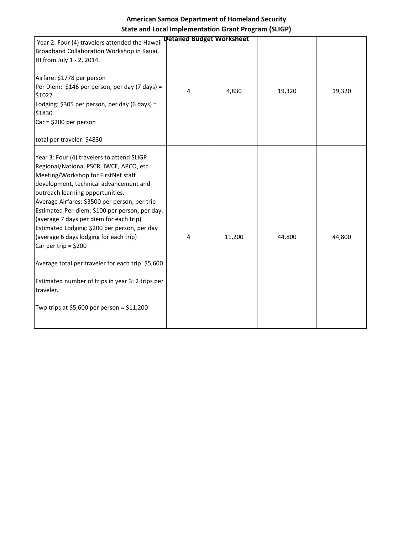| Year 2: Four (4) travelers attended the Hawaii<br>Broadband Collaboration Workshop in Kauai,<br>HI from July 1 - 2, 2014.<br>Airfare: \$1778 per person<br>Per Diem: \$146 per person, per day (7 days) =<br>\$1022<br>Lodging: \$305 per person, per day (6 days) =                                                                                                                                                                                                                                                                                                                                                                              | <b>Detailed Budget Worksheet</b><br>4 | 4,830  | 19,320 | 19,320 |
|---------------------------------------------------------------------------------------------------------------------------------------------------------------------------------------------------------------------------------------------------------------------------------------------------------------------------------------------------------------------------------------------------------------------------------------------------------------------------------------------------------------------------------------------------------------------------------------------------------------------------------------------------|---------------------------------------|--------|--------|--------|
| \$1830<br>$Car = $200 per person$<br>total per traveler: \$4830                                                                                                                                                                                                                                                                                                                                                                                                                                                                                                                                                                                   |                                       |        |        |        |
| Year 3: Four (4) travelers to attend SLIGP<br>Regional/National PSCR, IWCE, APCO, etc.<br>Meeting/Workshop for FirstNet staff<br>development, technical advancement and<br>outreach learning opportunities.<br>Average Airfares: \$3500 per person, per trip<br>Estimated Per-diem: \$100 per person, per day.<br>(average 7 days per diem for each trip)<br>Estimated Lodging: \$200 per person, per day<br>(average 6 days lodging for each trip)<br>Car per trip = $$200$<br>Average total per traveler for each trip: \$5,600<br>Estimated number of trips in year 3: 2 trips per<br>traveler.<br>Two trips at \$5,600 per person = $$11,200$ | 4                                     | 11,200 | 44,800 | 44,800 |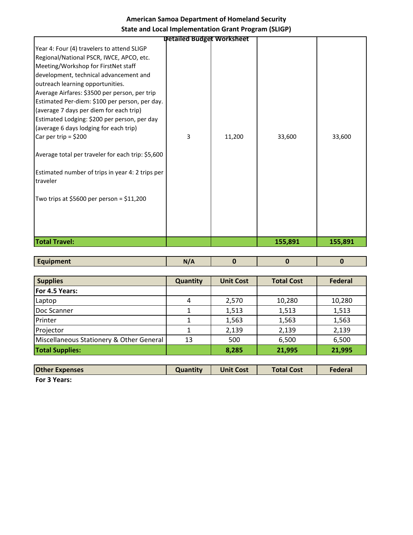|                                                                                                                                                                                                                                                                                                                                                                                                                                                                                                                                                                                                                                                | <b>Detailed Budget Worksheet</b> |        |         |         |
|------------------------------------------------------------------------------------------------------------------------------------------------------------------------------------------------------------------------------------------------------------------------------------------------------------------------------------------------------------------------------------------------------------------------------------------------------------------------------------------------------------------------------------------------------------------------------------------------------------------------------------------------|----------------------------------|--------|---------|---------|
| Year 4: Four (4) travelers to attend SLIGP<br>Regional/National PSCR, IWCE, APCO, etc.<br>Meeting/Workshop for FirstNet staff<br>development, technical advancement and<br>outreach learning opportunities.<br>Average Airfares: \$3500 per person, per trip<br>Estimated Per-diem: \$100 per person, per day.<br>(average 7 days per diem for each trip)<br>Estimated Lodging: \$200 per person, per day<br>(average 6 days lodging for each trip)<br>Car per trip = $$200$<br>Average total per traveler for each trip: \$5,600<br>Estimated number of trips in year 4: 2 trips per<br>traveler<br>Two trips at \$5600 per person = \$11,200 | 3                                | 11,200 | 33,600  | 33,600  |
| <b>Total Travel:</b>                                                                                                                                                                                                                                                                                                                                                                                                                                                                                                                                                                                                                           |                                  |        | 155,891 | 155,891 |

|  | <b>Contract Contract Contract Contract Contract Contract Contract Contract Contract Contract Contract Contract Co</b><br>--- | . .<br>. . |  |  |  |
|--|------------------------------------------------------------------------------------------------------------------------------|------------|--|--|--|
|--|------------------------------------------------------------------------------------------------------------------------------|------------|--|--|--|

| <b>Supplies</b>                          | <b>Quantity</b> | <b>Unit Cost</b> | <b>Total Cost</b> | Federal |
|------------------------------------------|-----------------|------------------|-------------------|---------|
| For 4.5 Years:                           |                 |                  |                   |         |
| Laptop                                   | 4               | 2,570            | 10,280            | 10,280  |
| Doc Scanner                              |                 | 1,513            | 1,513             | 1,513   |
| Printer                                  |                 | 1,563            | 1,563             | 1,563   |
| Projector                                |                 | 2,139            | 2,139             | 2,139   |
| Miscellaneous Stationery & Other General | 13              | 500              | 6,500             | 6,500   |
| <b>Total Supplies:</b>                   |                 | 8,285            | 21,995            | 21,995  |

| <b>Other Expenses</b> | Quantity | <b>Unit Cost</b> | <b>Total Cost</b> | Federal |
|-----------------------|----------|------------------|-------------------|---------|
| <b>EARLY MARRAY</b>   |          |                  |                   |         |

**For 3 Years:**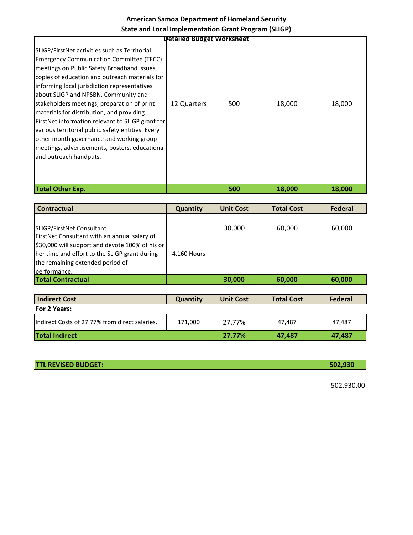|                                                                                                                                                                                                                                                                                                                                                                                                                                                                                                                                                                                                                        | <b>Detailed Budget Worksheet</b> |     |        |        |
|------------------------------------------------------------------------------------------------------------------------------------------------------------------------------------------------------------------------------------------------------------------------------------------------------------------------------------------------------------------------------------------------------------------------------------------------------------------------------------------------------------------------------------------------------------------------------------------------------------------------|----------------------------------|-----|--------|--------|
| SLIGP/FirstNet activities such as Territorial<br><b>Emergency Communication Committee (TECC)</b><br>meetings on Public Safety Broadband issues,<br>copies of education and outreach materials for<br>informing local jurisdiction representatives<br>about SLIGP and NPSBN. Community and<br>stakeholders meetings, preparation of print<br>materials for distribution, and providing<br>FirstNet information relevant to SLIGP grant for<br>various territorial public safety entities. Every<br>other month governance and working group<br>meetings, advertisements, posters, educational<br>and outreach handputs. | 12 Quarters                      | 500 | 18,000 | 18,000 |
|                                                                                                                                                                                                                                                                                                                                                                                                                                                                                                                                                                                                                        |                                  |     |        |        |
| <b>Total Other Exp.</b>                                                                                                                                                                                                                                                                                                                                                                                                                                                                                                                                                                                                |                                  | 500 | 18,000 | 18,000 |

| Contractual                                                                                                                                                                                                                       | Quantity    | <b>Unit Cost</b> | <b>Total Cost</b> | Federal |
|-----------------------------------------------------------------------------------------------------------------------------------------------------------------------------------------------------------------------------------|-------------|------------------|-------------------|---------|
| SLIGP/FirstNet Consultant<br>FirstNet Consultant with an annual salary of<br>\$30,000 will support and devote 100% of his or<br>her time and effort to the SLIGP grant during<br>the remaining extended period of<br>performance. | 4,160 Hours | 30,000           | 60,000            | 60,000  |
| <b>Total Contractual</b>                                                                                                                                                                                                          |             | 30,000           | 60,000            | 60,000  |

| <b>Indirect Cost</b>                           | <b>Quantity</b> | <b>Unit Cost</b> | <b>Total Cost</b> | Federal |
|------------------------------------------------|-----------------|------------------|-------------------|---------|
| For 2 Years:                                   |                 |                  |                   |         |
| Indirect Costs of 27.77% from direct salaries. | 171.000         | 27.77%           | 47.487            | 47.487  |
| <b>Total Indirect</b>                          |                 | 27.77%           | 47.487            | 47,487  |

**TTL REVISED BUDGET: 502,930**

502,930.00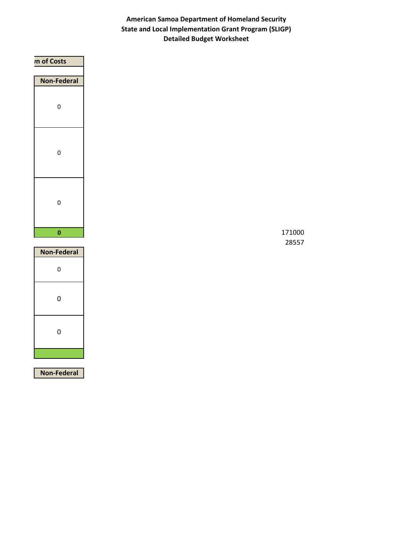| <i><b>In of Costs</b></i> |
|---------------------------|
|                           |
| <b>Non-Federal</b>        |
|                           |
| $\pmb{0}$                 |
|                           |
|                           |
|                           |
| $\pmb{0}$                 |
|                           |
|                           |
|                           |
|                           |
| $\pmb{0}$                 |
|                           |
|                           |
| $\pmb{0}$                 |
|                           |

| <b>Non-Federal</b> |
|--------------------|
| 0                  |
| 0                  |
| 0                  |
|                    |

**Non-Federal**

28557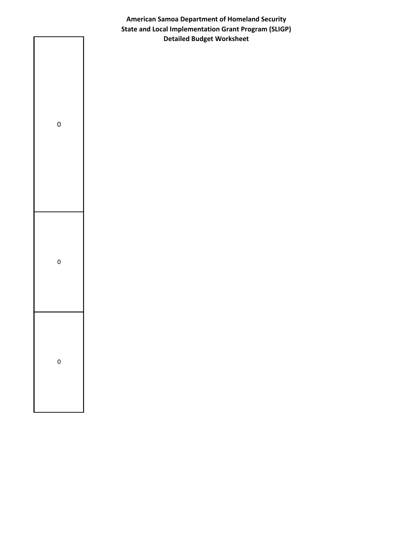

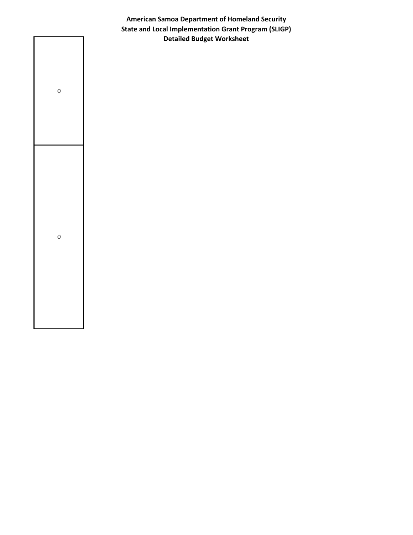

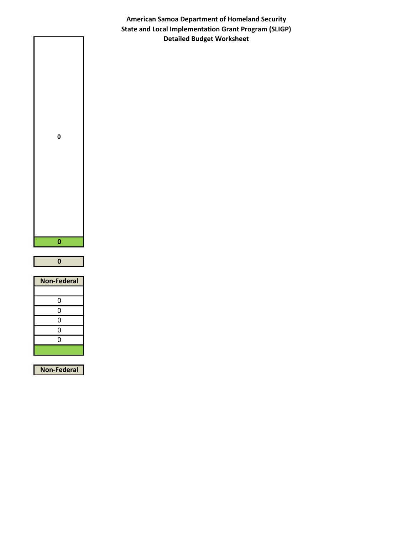

| Non-Federal |
|-------------|
|             |
| 0           |
| 0           |
| 0           |
| 0           |
| 0           |
|             |
|             |

**Non-Federal**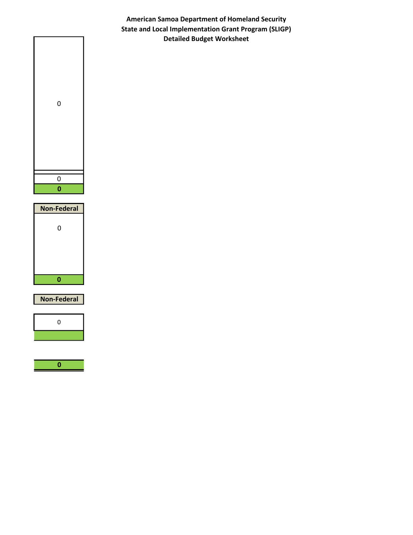

| <b>Non-Federal</b> |  |  |
|--------------------|--|--|
| 0                  |  |  |
|                    |  |  |

**Non-Federal**



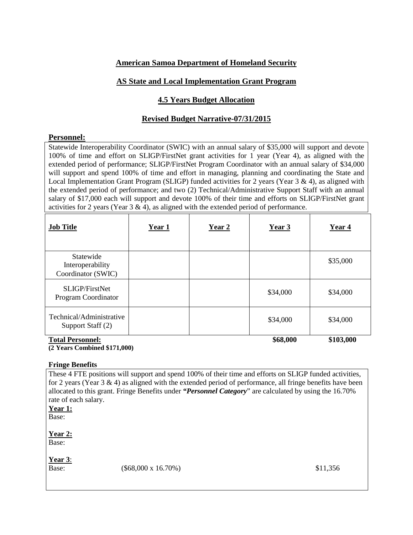## **American Samoa Department of Homeland Security**

## **AS State and Local Implementation Grant Program**

## **4.5 Years Budget Allocation**

## **Revised Budget Narrative-07/31/2015**

### **Personnel:**

Statewide Interoperability Coordinator (SWIC) with an annual salary of \$35,000 will support and devote 100% of time and effort on SLIGP/FirstNet grant activities for 1 year (Year 4), as aligned with the extended period of performance; SLIGP/FirstNet Program Coordinator with an annual salary of \$34,000 will support and spend 100% of time and effort in managing, planning and coordinating the State and Local Implementation Grant Program (SLIGP) funded activities for 2 years (Year 3 & 4), as aligned with the extended period of performance; and two (2) Technical/Administrative Support Staff with an annual salary of \$17,000 each will support and devote 100% of their time and efforts on SLIGP/FirstNet grant activities for 2 years (Year  $3 \& 4$ ), as aligned with the extended period of performance.

| <b>Job Title</b>                                    | Year 1 | Year 2 | Year 3   | Year 4    |
|-----------------------------------------------------|--------|--------|----------|-----------|
| Statewide<br>Interoperability<br>Coordinator (SWIC) |        |        |          | \$35,000  |
| SLIGP/FirstNet<br>Program Coordinator               |        |        | \$34,000 | \$34,000  |
| Technical/Administrative<br>Support Staff (2)       |        |        | \$34,000 | \$34,000  |
| <b>Total Personnel:</b>                             |        |        | \$68,000 | \$103,000 |

# **(2 Years Combined \$171,000)**

#### **Fringe Benefits**

These 4 FTE positions will support and spend 100% of their time and efforts on SLIGP funded activities, for 2 years (Year 3 & 4) as aligned with the extended period of performance, all fringe benefits have been allocated to this grant. Fringe Benefits under *"Personnel Category*" are calculated by using the 16.70% rate of each salary. **Year 1:**

Base:

**Year 2:** Base:

**Year 3**:

Base: (\$68,000 x 16.70%) \$11,356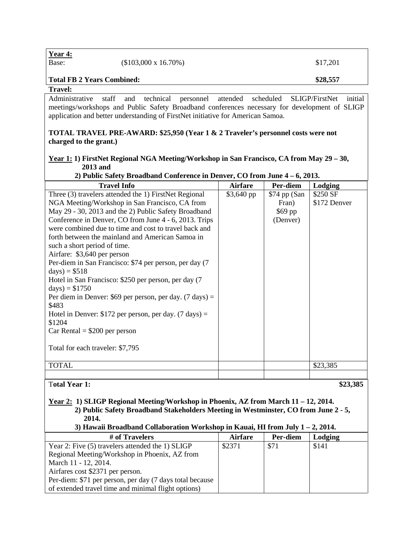| <b>Total FB 2 Years Combined:</b> |                             | \$28,557 |
|-----------------------------------|-----------------------------|----------|
| Year 4:<br>Base:                  | $($103,000 \times 16.70\%)$ | \$17,201 |

#### **Travel:**

Administrative staff and technical personnel attended scheduled SLIGP/FirstNet initial meetings/workshops and Public Safety Broadband conferences necessary for development of SLIGP application and better understanding of FirstNet initiative for American Samoa.

#### **TOTAL TRAVEL PRE-AWARD: \$25,950 (Year 1 & 2 Traveler's personnel costs were not charged to the grant.)**

### **Year 1: 1) FirstNet Regional NGA Meeting/Workshop in San Francisco, CA from May 29 – 30, 2013 and**

 **2) Public Safety Broadband Conference in Denver, CO from June 4 – 6, 2013.** 

| <b>Travel Info</b>                                                 | <b>Airfare</b> | Per-diem       | Lodging      |
|--------------------------------------------------------------------|----------------|----------------|--------------|
| Three (3) travelers attended the 1) FirstNet Regional              | \$3,640 pp     | $$74$ pp (San) | \$250 SF     |
| NGA Meeting/Workshop in San Francisco, CA from                     |                | Fran)          | \$172 Denver |
| May 29 - 30, 2013 and the 2) Public Safety Broadband               |                | $$69$ pp       |              |
| Conference in Denver, CO from June 4 - 6, 2013. Trips              |                | (Denver)       |              |
| were combined due to time and cost to travel back and              |                |                |              |
| forth between the mainland and American Samoa in                   |                |                |              |
| such a short period of time.                                       |                |                |              |
| Airfare: \$3,640 per person                                        |                |                |              |
| Per-diem in San Francisco: \$74 per person, per day (7)            |                |                |              |
| $days) = $518$                                                     |                |                |              |
| Hotel in San Francisco: \$250 per person, per day (7)              |                |                |              |
| $days) = $1750$                                                    |                |                |              |
| Per diem in Denver: \$69 per person, per day. $(7 \text{ days}) =$ |                |                |              |
| \$483                                                              |                |                |              |
| Hotel in Denver: \$172 per person, per day. $(7 \text{ days}) =$   |                |                |              |
| \$1204                                                             |                |                |              |
| $Car Rental = $200$ per person                                     |                |                |              |
|                                                                    |                |                |              |
| Total for each traveler: \$7,795                                   |                |                |              |
|                                                                    |                |                |              |
| <b>TOTAL</b>                                                       |                |                | \$23,385     |
|                                                                    |                |                |              |
| <b>Total Year 1:</b>                                               |                |                | \$23,385     |

#### **Year 2: 1) SLIGP Regional Meeting/Workshop in Phoenix, AZ from March 11 – 12, 2014. 2) Public Safety Broadband Stakeholders Meeting in Westminster, CO from June 2 - 5, 2014.**

### **3) Hawaii Broadband Collaboration Workshop in Kauai, HI from July 1 – 2, 2014.**

| # of Travelers                                           | <b>Airfare</b> | Per-diem | Lodging |
|----------------------------------------------------------|----------------|----------|---------|
| Year 2: Five (5) travelers attended the 1) SLIGP         | \$2371         | \$71     | \$141   |
| Regional Meeting/Workshop in Phoenix, AZ from            |                |          |         |
| March 11 - 12, 2014.                                     |                |          |         |
| Airfares cost \$2371 per person.                         |                |          |         |
| Per-diem: \$71 per person, per day (7 days total because |                |          |         |
| of extended travel time and minimal flight options)      |                |          |         |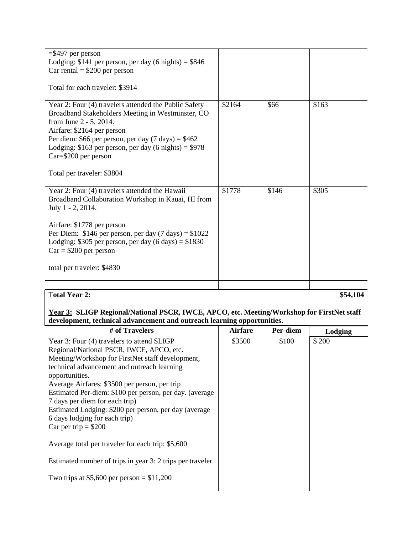| $= $497$ per person                                            |        |       |          |
|----------------------------------------------------------------|--------|-------|----------|
| Lodging: \$141 per person, per day $(6 \text{ nights}) = $846$ |        |       |          |
| Car rental $= $200$ per person                                 |        |       |          |
|                                                                |        |       |          |
| Total for each traveler: \$3914                                |        |       |          |
|                                                                |        |       |          |
| Year 2: Four (4) travelers attended the Public Safety          | \$2164 | \$66  | \$163    |
| Broadband Stakeholders Meeting in Westminster, CO              |        |       |          |
| from June 2 - 5, 2014.                                         |        |       |          |
| Airfare: \$2164 per person                                     |        |       |          |
| Per diem: \$66 per person, per day $(7 \text{ days}) = $462$   |        |       |          |
| Lodging: $$163$ per person, per day (6 nights) = $$978$        |        |       |          |
| Car=\$200 per person                                           |        |       |          |
|                                                                |        |       |          |
| Total per traveler: \$3804                                     |        |       |          |
|                                                                |        |       |          |
| Year 2: Four (4) travelers attended the Hawaii                 | \$1778 | \$146 | \$305    |
| Broadband Collaboration Workshop in Kauai, HI from             |        |       |          |
| July 1 - 2, 2014.                                              |        |       |          |
|                                                                |        |       |          |
| Airfare: \$1778 per person                                     |        |       |          |
|                                                                |        |       |          |
| Per Diem: \$146 per person, per day $(7 \text{ days}) = $1022$ |        |       |          |
| Lodging: \$305 per person, per day $(6 \text{ days}) = $1830$  |        |       |          |
| $Car = $200$ per person                                        |        |       |          |
|                                                                |        |       |          |
| total per traveler: \$4830                                     |        |       |          |
|                                                                |        |       |          |
| <b>Total Year 2:</b>                                           |        |       |          |
|                                                                |        |       | \$54,104 |

### **Year 3: SLIGP Regional/National PSCR, IWCE, APCO, etc. Meeting/Workshop for FirstNet staff development, technical advancement and outreach learning opportunities.**

| # of Travelers                                             | <b>Airfare</b> | Per-diem<br>Lodging |       |
|------------------------------------------------------------|----------------|---------------------|-------|
| Year 3: Four (4) travelers to attend SLIGP                 | \$3500         | \$100               | \$200 |
| Regional/National PSCR, IWCE, APCO, etc.                   |                |                     |       |
| Meeting/Workshop for FirstNet staff development,           |                |                     |       |
| technical advancement and outreach learning                |                |                     |       |
| opportunities.                                             |                |                     |       |
| Average Airfares: \$3500 per person, per trip              |                |                     |       |
| Estimated Per-diem: \$100 per person, per day. (average    |                |                     |       |
| 7 days per diem for each trip)                             |                |                     |       |
| Estimated Lodging: \$200 per person, per day (average      |                |                     |       |
| 6 days lodging for each trip)                              |                |                     |       |
| Car per trip = $$200$                                      |                |                     |       |
| Average total per traveler for each trip: \$5,600          |                |                     |       |
| Estimated number of trips in year 3: 2 trips per traveler. |                |                     |       |
| Two trips at \$5,600 per person = $$11,200$                |                |                     |       |
|                                                            |                |                     |       |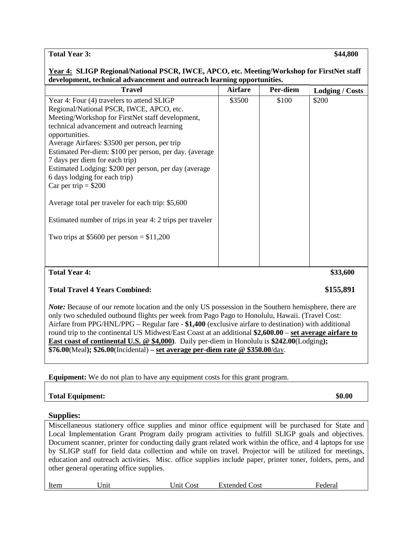**Total Year 3: \$44,800** 

| <b>Travel</b>                                                                                                                                                                                                                                                                                                                                                                                                                                                                                                                                                                                                                                | <b>Airfare</b> | Per-diem | <b>Lodging / Costs</b> |
|----------------------------------------------------------------------------------------------------------------------------------------------------------------------------------------------------------------------------------------------------------------------------------------------------------------------------------------------------------------------------------------------------------------------------------------------------------------------------------------------------------------------------------------------------------------------------------------------------------------------------------------------|----------------|----------|------------------------|
| Year 4: Four (4) travelers to attend SLIGP<br>Regional/National PSCR, IWCE, APCO, etc.<br>Meeting/Workshop for FirstNet staff development,<br>technical advancement and outreach learning<br>opportunities.<br>Average Airfares: \$3500 per person, per trip<br>Estimated Per-diem: \$100 per person, per day. (average<br>7 days per diem for each trip)<br>Estimated Lodging: \$200 per person, per day (average<br>6 days lodging for each trip)<br>Car per trip = $$200$<br>Average total per traveler for each trip: \$5,600<br>Estimated number of trips in year 4: 2 trips per traveler<br>Two trips at \$5600 per person = $$11,200$ | \$3500         | \$100    | \$200                  |

## **Total Travel 4 Years Combined: \$155,891**

*Note:* Because of our remote location and the only US possession in the Southern hemisphere, there are only two scheduled outbound flights per week from Pago Pago to Honolulu, Hawaii. (Travel Cost: Airfare from PPG/HNL/PPG – Regular fare - **\$1,400** (exclusive airfare to destination) with additional round trip to the continental US Midwest/East Coast at an additional **\$2,600.00** – **set average airfare to East coast of continental U.S. @ \$4,000)**. Daily per-diem in Honolulu is **\$242.00**(Lodging**); \$76.00**(Meal**); \$26.00**(Incidental) **– set average per-diem rate @ \$350.00**/day.

**Equipment:** We do not plan to have any equipment costs for this grant program.

| <b>Total Equipment:</b> | \$0.00 |
|-------------------------|--------|
|                         |        |

#### **Supplies:**

Miscellaneous stationery office supplies and minor office equipment will be purchased for State and Local Implementation Grant Program daily program activities to fulfill SLIGP goals and objectives. Document scanner, printer for conducting daily grant related work within the office, and 4 laptops for use by SLIGP staff for field data collection and while on travel. Projector will be utilized for meetings, education and outreach activities. Misc. office supplies include paper, printer toner, folders, pens, and other general operating office supplies.

Item Unit Unit Cost Extended Cost Federal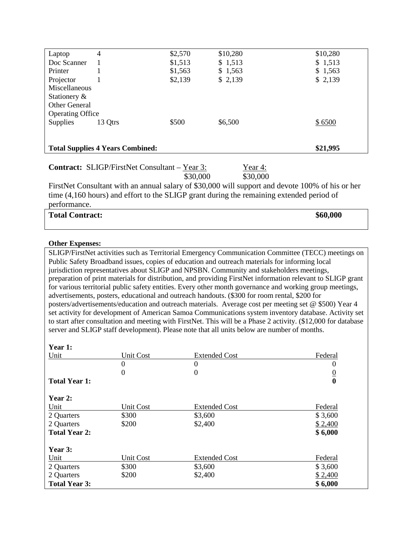| Laptop                  | 4                                       | \$2,570 | \$10,280 | \$10,280 |
|-------------------------|-----------------------------------------|---------|----------|----------|
| Doc Scanner             |                                         | \$1,513 | \$1,513  | \$1,513  |
| Printer                 |                                         | \$1,563 | \$1,563  | \$1,563  |
| Projector               |                                         | \$2,139 | \$2,139  | \$2,139  |
| Miscellaneous           |                                         |         |          |          |
| Stationery &            |                                         |         |          |          |
| Other General           |                                         |         |          |          |
| <b>Operating Office</b> |                                         |         |          |          |
| <b>Supplies</b>         | 13 Otrs                                 | \$500   | \$6,500  | \$6500   |
|                         |                                         |         |          |          |
|                         |                                         |         |          |          |
|                         | <b>Total Supplies 4 Years Combined:</b> |         |          | \$21,995 |

|  | <b>Contract:</b> SLIGP/FirstNet Consultant – Year 3: | Year 4: |
|--|------------------------------------------------------|---------|
|--|------------------------------------------------------|---------|

\$30,000 \$30,000

FirstNet Consultant with an annual salary of \$30,000 will support and devote 100% of his or her time (4,160 hours) and effort to the SLIGP grant during the remaining extended period of performance.

| <b>Total Contract:</b> | \$60,000 |
|------------------------|----------|
|                        |          |

#### **Other Expenses:**

SLIGP/FirstNet activities such as Territorial Emergency Communication Committee (TECC) meetings on Public Safety Broadband issues, copies of education and outreach materials for informing local jurisdiction representatives about SLIGP and NPSBN. Community and stakeholders meetings, preparation of print materials for distribution, and providing FirstNet information relevant to SLIGP grant for various territorial public safety entities. Every other month governance and working group meetings, advertisements, posters, educational and outreach handouts. (\$300 for room rental, \$200 for posters/advertisements/education and outreach materials. Average cost per meeting set @ \$500) Year 4 set activity for development of American Samoa Communications system inventory database. Activity set to start after consultation and meeting with FirstNet. This will be a Phase 2 activity. (\$12,000 for database server and SLIGP staff development). Please note that all units below are number of months.

| Year 1:              |           |                      |                |
|----------------------|-----------|----------------------|----------------|
| Unit                 | Unit Cost | <b>Extended Cost</b> | Federal        |
|                      | $\theta$  | $\boldsymbol{0}$     | $\theta$       |
|                      | $\theta$  | $\theta$             | $\overline{0}$ |
| <b>Total Year 1:</b> |           |                      | $\bf{0}$       |
| Year 2:              |           |                      |                |
| Unit                 | Unit Cost | <b>Extended Cost</b> | Federal        |
| 2 Quarters           | \$300     | \$3,600              | \$3,600        |
| 2 Quarters           | \$200     | \$2,400              | \$2,400        |
| <b>Total Year 2:</b> |           |                      | \$6,000        |
| Year 3:              |           |                      |                |
| Unit                 | Unit Cost | <b>Extended Cost</b> | Federal        |
| 2 Quarters           | \$300     | \$3,600              | \$3,600        |
| 2 Quarters           | \$200     | \$2,400              | \$2,400        |
| <b>Total Year 3:</b> |           |                      | \$6,000        |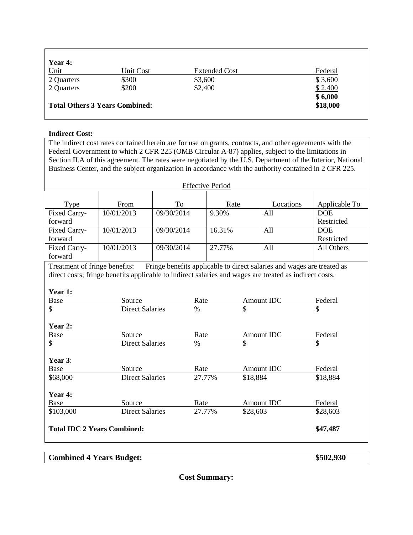| Year 4:                               |           |                      |          |
|---------------------------------------|-----------|----------------------|----------|
| Unit                                  | Unit Cost | <b>Extended Cost</b> | Federal  |
| 2 Quarters                            | \$300     | \$3,600              | \$3,600  |
| 2 Quarters                            | \$200     | \$2,400              | \$2,400  |
|                                       |           |                      | \$6,000  |
| <b>Total Others 3 Years Combined:</b> |           |                      | \$18,000 |
|                                       |           |                      |          |

## **Indirect Cost:**

|                                    | The indirect cost rates contained herein are for use on grants, contracts, and other agreements with the |            |             |        |          |                                                                        |                                                                                                            |  |  |  |  |  |
|------------------------------------|----------------------------------------------------------------------------------------------------------|------------|-------------|--------|----------|------------------------------------------------------------------------|------------------------------------------------------------------------------------------------------------|--|--|--|--|--|
|                                    | Federal Government to which 2 CFR 225 (OMB Circular A-87) applies, subject to the limitations in         |            |             |        |          |                                                                        |                                                                                                            |  |  |  |  |  |
|                                    |                                                                                                          |            |             |        |          |                                                                        | Section II.A of this agreement. The rates were negotiated by the U.S. Department of the Interior, National |  |  |  |  |  |
|                                    | Business Center, and the subject organization in accordance with the authority contained in 2 CFR 225.   |            |             |        |          |                                                                        |                                                                                                            |  |  |  |  |  |
| <b>Effective Period</b>            |                                                                                                          |            |             |        |          |                                                                        |                                                                                                            |  |  |  |  |  |
|                                    |                                                                                                          |            |             |        |          |                                                                        |                                                                                                            |  |  |  |  |  |
| Type                               | From                                                                                                     | To         |             | Rate   |          | Locations                                                              | Applicable To                                                                                              |  |  |  |  |  |
| Fixed Carry-                       | 10/01/2013                                                                                               | 09/30/2014 |             | 9.30%  |          | All                                                                    | <b>DOE</b>                                                                                                 |  |  |  |  |  |
| forward                            |                                                                                                          |            |             |        |          |                                                                        | Restricted                                                                                                 |  |  |  |  |  |
| Fixed Carry-                       | 10/01/2013                                                                                               | 09/30/2014 |             | 16.31% |          | All                                                                    | <b>DOE</b>                                                                                                 |  |  |  |  |  |
| forward                            |                                                                                                          |            |             |        |          |                                                                        | Restricted                                                                                                 |  |  |  |  |  |
| Fixed Carry-                       | 10/01/2013                                                                                               | 09/30/2014 |             | 27.77% |          | All                                                                    | All Others                                                                                                 |  |  |  |  |  |
| forward                            |                                                                                                          |            |             |        |          |                                                                        |                                                                                                            |  |  |  |  |  |
| Treatment of fringe benefits:      |                                                                                                          |            |             |        |          | Fringe benefits applicable to direct salaries and wages are treated as |                                                                                                            |  |  |  |  |  |
|                                    | direct costs; fringe benefits applicable to indirect salaries and wages are treated as indirect costs.   |            |             |        |          |                                                                        |                                                                                                            |  |  |  |  |  |
|                                    |                                                                                                          |            |             |        |          |                                                                        |                                                                                                            |  |  |  |  |  |
| Year 1:                            |                                                                                                          |            |             |        |          |                                                                        |                                                                                                            |  |  |  |  |  |
| <b>Base</b>                        | Source                                                                                                   |            | Rate        |        |          | <b>Amount IDC</b>                                                      | Federal                                                                                                    |  |  |  |  |  |
| \$                                 | <b>Direct Salaries</b>                                                                                   |            | $\%$        | \$     |          |                                                                        | \$                                                                                                         |  |  |  |  |  |
|                                    |                                                                                                          |            |             |        |          |                                                                        |                                                                                                            |  |  |  |  |  |
| Year 2:                            |                                                                                                          |            |             |        |          |                                                                        |                                                                                                            |  |  |  |  |  |
| <b>Base</b>                        | Source                                                                                                   |            | <b>Rate</b> |        |          | Amount IDC                                                             | Federal                                                                                                    |  |  |  |  |  |
| \$                                 | <b>Direct Salaries</b>                                                                                   |            | $\%$        |        | \$       |                                                                        | \$                                                                                                         |  |  |  |  |  |
|                                    |                                                                                                          |            |             |        |          |                                                                        |                                                                                                            |  |  |  |  |  |
| Year 3:                            |                                                                                                          |            |             |        |          |                                                                        |                                                                                                            |  |  |  |  |  |
| Base                               | Source                                                                                                   |            | Rate        |        |          | Amount IDC                                                             | Federal                                                                                                    |  |  |  |  |  |
| \$68,000                           | <b>Direct Salaries</b>                                                                                   |            | 27.77%      |        | \$18,884 |                                                                        | \$18,884                                                                                                   |  |  |  |  |  |
|                                    |                                                                                                          |            |             |        |          |                                                                        |                                                                                                            |  |  |  |  |  |
| Year 4:                            |                                                                                                          |            |             |        |          |                                                                        |                                                                                                            |  |  |  |  |  |
| Base                               | Source                                                                                                   |            | Rate        |        |          | Amount IDC                                                             | Federal                                                                                                    |  |  |  |  |  |
| \$103,000                          | <b>Direct Salaries</b>                                                                                   |            | 27.77%      |        | \$28,603 |                                                                        | \$28,603                                                                                                   |  |  |  |  |  |
| <b>Total IDC 2 Years Combined:</b> |                                                                                                          |            |             |        |          |                                                                        | \$47,487                                                                                                   |  |  |  |  |  |

# **Combined 4 Years Budget: \$502,930**

**Cost Summary:**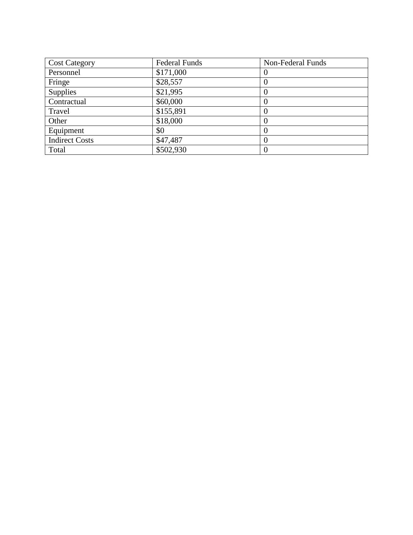| <b>Cost Category</b>  | <b>Federal Funds</b> | Non-Federal Funds |
|-----------------------|----------------------|-------------------|
| Personnel             | \$171,000            |                   |
| Fringe                | \$28,557             |                   |
| Supplies              | \$21,995             |                   |
| Contractual           | \$60,000             |                   |
| Travel                | \$155,891            |                   |
| Other                 | \$18,000             |                   |
| Equipment             | \$0                  |                   |
| <b>Indirect Costs</b> | \$47,487             |                   |
| Total                 | \$502,930            |                   |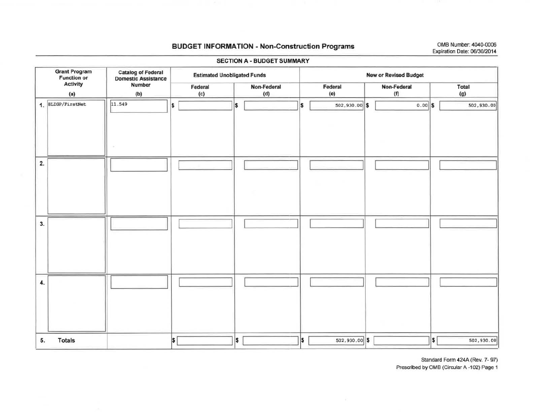## BUDGET INFORMATION - Non-Construction Programs OMB Number: 4040-0006

# Expiration Date: 06/3012014

|                                            | SECTION A - BUDGET SUMMARY                       |                                    |                          |                              |                    |                                        |  |  |  |  |  |  |  |  |
|--------------------------------------------|--------------------------------------------------|------------------------------------|--------------------------|------------------------------|--------------------|----------------------------------------|--|--|--|--|--|--|--|--|
| <b>Grant Program</b><br><b>Function or</b> | <b>Catalog of Federal</b><br>Domestic Assistance | <b>Estimated Unobligated Funds</b> |                          | <b>New or Revised Budget</b> |                    |                                        |  |  |  |  |  |  |  |  |
| <b>Activity</b><br>(a)                     | Number<br>(b)                                    | Federal<br>(c)                     | Non-Federal<br>(d)       | Federal<br>(e)               | Non-Federal<br>(f) | Total<br>(g)                           |  |  |  |  |  |  |  |  |
| 1. SLIGP/FirstNet                          | 11.549                                           | \$                                 | \$                       | $502,930.00$ \$<br>S         | $0.00$ \$          | 502,930.00                             |  |  |  |  |  |  |  |  |
| 2.                                         |                                                  |                                    |                          |                              |                    |                                        |  |  |  |  |  |  |  |  |
| 3.                                         |                                                  |                                    |                          |                              |                    |                                        |  |  |  |  |  |  |  |  |
| 4.                                         |                                                  |                                    |                          |                              |                    |                                        |  |  |  |  |  |  |  |  |
| <b>Totals</b><br>5.                        |                                                  | <sup>\$</sup>                      | $\vert \mathsf{s} \vert$ | ls.<br>$502,930.00$ \$       |                    | $\vert \mathsf{s} \vert$<br>502,930.00 |  |  |  |  |  |  |  |  |

Standard Form 424A (Rev. 7- 97)

Prescribed by OMB (Circular A -102) Page 1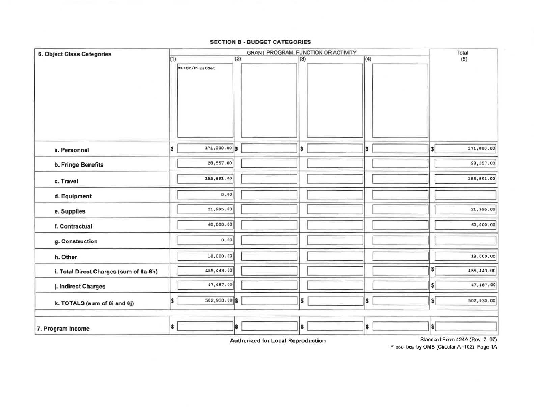#### SECTION B - BUDGET CATEGORIES

| <b>6. Object Class Categories</b>      |                        | Total    |     |     |                                        |
|----------------------------------------|------------------------|----------|-----|-----|----------------------------------------|
|                                        | (1)<br>SLIGP/FirstNet  | (2)      | (3) | (4) | (5)                                    |
| a. Personnel                           | 171,000.00 \$<br>I\$   |          | \$  | I\$ | 171,000.00<br>\$                       |
| b. Fringe Benefits                     | 28,557.00              |          |     |     | 28,557.00                              |
| c. Travel                              | 155,891.00             |          |     |     | 155,891.00                             |
| d. Equipment                           | 0.00                   |          |     |     |                                        |
| e. Supplies                            | 21,995.00              |          |     |     | 21,995.00                              |
| f. Contractual                         | 60,000.00              |          |     |     | 60,000.00                              |
| g. Construction                        | 0.00                   |          |     |     |                                        |
| h. Other                               | 18,000.00              |          |     |     | 18,000.00                              |
| i. Total Direct Charges (sum of 6a-6h) | 455,443.00             |          |     |     | $ \mathsf{s} $<br>455,443.00           |
| j. Indirect Charges                    | 47,487.00              |          |     |     | $\vert$<br>47,487.00                   |
| k. TOTALS (sum of 6i and 6j)           | $502, 930.00$ \$<br>\$ |          | \$  | I\$ | $\vert \mathsf{s} \vert$<br>502,930.00 |
| 7. Program Income                      | \$                     | <b>S</b> | \$  | \$  | $\vert \mathsf{s} \vert$               |

Prescribed by OMS (Circular A -102) Page 1A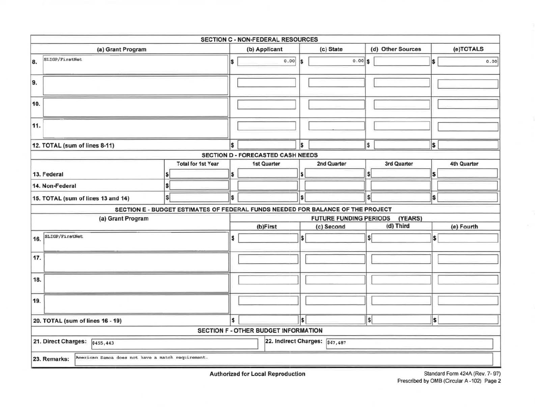|                                                                   |                                                                                 |                                          | SECTION C - NON-FEDERAL RESOURCES        |                  |                                |    |                   |          |             |  |  |
|-------------------------------------------------------------------|---------------------------------------------------------------------------------|------------------------------------------|------------------------------------------|------------------|--------------------------------|----|-------------------|----------|-------------|--|--|
| (a) Grant Program                                                 |                                                                                 | (b) Applicant                            |                                          |                  | (c) State                      |    | (d) Other Sources |          | (e)TOTALS   |  |  |
| SLIGP/FirstNet<br>8.                                              | IS.                                                                             |                                          |                                          |                  |                                |    |                   | \$       | 0.00        |  |  |
| 9.                                                                |                                                                                 |                                          |                                          |                  |                                |    |                   |          |             |  |  |
| 10.                                                               |                                                                                 |                                          |                                          |                  |                                |    |                   |          |             |  |  |
| 11.                                                               |                                                                                 |                                          |                                          |                  |                                |    |                   |          |             |  |  |
| 12. TOTAL (sum of lines 8-11)                                     |                                                                                 | \$                                       |                                          | l\$              |                                | \$ |                   | <b>S</b> |             |  |  |
|                                                                   |                                                                                 |                                          | <b>SECTION D - FORECASTED CASH NEEDS</b> |                  |                                |    |                   |          |             |  |  |
| 13. Federal                                                       | <b>Total for 1st Year</b>                                                       | \$                                       | 1st Quarter                              |                  | 2nd Quarter                    | s  | 3rd Quarter       | S        | 4th Quarter |  |  |
| 14. Non-Federal                                                   | \$                                                                              |                                          |                                          |                  |                                |    |                   |          |             |  |  |
| 15. TOTAL (sum of lines 13 and 14)                                | \$                                                                              | \$                                       |                                          | $\boldsymbol{s}$ |                                | s  |                   | \$       |             |  |  |
|                                                                   | SECTION E - BUDGET ESTIMATES OF FEDERAL FUNDS NEEDED FOR BALANCE OF THE PROJECT |                                          |                                          |                  |                                |    |                   |          |             |  |  |
| (a) Grant Program                                                 |                                                                                 | <b>FUTURE FUNDING PERIODS</b><br>(YEARS) |                                          |                  |                                |    |                   |          |             |  |  |
|                                                                   |                                                                                 |                                          | (b)First                                 |                  | (c) Second                     |    | (d) Third         |          | (e) Fourth  |  |  |
| SLIGP/FirstNet<br>16.                                             |                                                                                 | \$                                       |                                          | l\$              |                                | S. |                   | \$       |             |  |  |
| 17.                                                               |                                                                                 |                                          |                                          |                  |                                |    |                   |          |             |  |  |
| 18.                                                               |                                                                                 |                                          |                                          |                  |                                |    |                   |          |             |  |  |
| 19.                                                               |                                                                                 |                                          |                                          |                  |                                |    |                   |          |             |  |  |
| 20. TOTAL (sum of lines 16 - 19)                                  | \$                                                                              |                                          | S                                        |                  | \$                             |    | <b>S</b>          |          |             |  |  |
|                                                                   |                                                                                 |                                          | SECTION F - OTHER BUDGET INFORMATION     |                  |                                |    |                   |          |             |  |  |
| 21. Direct Charges: 6455,443                                      |                                                                                 |                                          |                                          |                  | 22. Indirect Charges: \$47,487 |    |                   |          |             |  |  |
| American Samoa does not have a match requirement.<br>23. Remarks: |                                                                                 |                                          |                                          |                  |                                |    |                   |          |             |  |  |

Authorized for Local Reproduction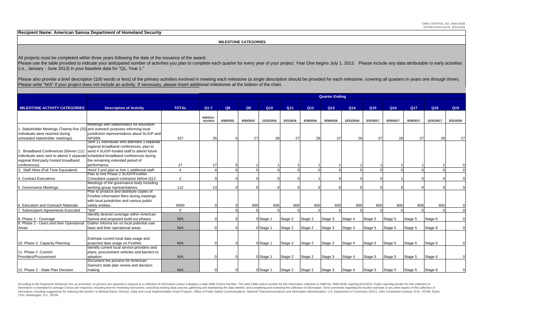**Recipient Name: American Samoa Department of Homeland Security**

 **MILESTONE CATEGORIES**

All projects must be completed within three years following the date of the issuance of the award.

Please use the table provided to indicate your anticipated number of activities you plan to complete each quarter for every year of your project. Year One begins July 1, 2013. Please include any data attributable to early (i.e., January - June 2013) in your baseline data for "Q1, Year 1."

Please also provide a brief description (100 words or less) of the primary activities involved in meeting each milestone (a single description should be provided for each milestone, covering all quarters in years one throu Please write "N/A" if your project does not include an activity. If necessary, please insert additional milestones at the bottom of the chart.

|                                                                              |                                                                                   |                | <b>Quarter Ending</b> |           |           |                 |           |           |           |                 |                 |                 |                 |            |           |
|------------------------------------------------------------------------------|-----------------------------------------------------------------------------------|----------------|-----------------------|-----------|-----------|-----------------|-----------|-----------|-----------|-----------------|-----------------|-----------------|-----------------|------------|-----------|
|                                                                              |                                                                                   |                |                       |           |           |                 |           |           |           |                 |                 |                 |                 |            |           |
| <b>MILESTONE ACTIVITY CATEGORIES</b>                                         | <b>Description of Activity</b>                                                    | <b>TOTAL</b>   | $Q1 - 7$              | Q8        | Q9        | Q <sub>10</sub> | Q11       | Q12       | Q13       | Q <sub>14</sub> | Q <sub>15</sub> | Q <sub>16</sub> | Q <sub>17</sub> | Q18        | Q19       |
|                                                                              |                                                                                   |                |                       |           |           |                 |           |           |           |                 |                 |                 |                 |            |           |
|                                                                              |                                                                                   |                | 9/30/2013-            |           |           |                 |           |           |           |                 |                 |                 |                 |            |           |
|                                                                              | Meetings with stakeholders for education                                          |                | 3/31/2015             | 6/30/2015 | 9/30/2015 | 12/31/2015      | 3/31/2016 | 6/30/2016 | 9/30/2016 | 12/31/2016      | 3/31/2017       | 6/30/2017       | 9/30/2017       | 12/31/2017 | 3/31/2018 |
| Stakeholder Meetings (Twenty-five (25) and outreach purposes informing local |                                                                                   |                |                       |           |           |                 |           |           |           |                 |                 |                 |                 |            |           |
| individuals were reached during                                              | jurisdiction representatives about SLIGP and                                      |                |                       |           |           |                 |           |           |           |                 |                 |                 |                 |            |           |
| scheduled stakeholder meetings)                                              | NPSBN.                                                                            | 327            | 25                    |           | 27        | 28              | 27        | 28        | 27        | 28              | 27              | 28              | 27              | 28         | 27        |
|                                                                              | Sent 11 individuals who attended 3 separate                                       |                |                       |           |           |                 |           |           |           |                 |                 |                 |                 |            |           |
|                                                                              | regional broadband conferences, plan to                                           |                |                       |           |           |                 |           |           |           |                 |                 |                 |                 |            |           |
| Broadband Conferences (Eleven (11)                                           | send 4 SLIGP-funded staff to attend future                                        |                |                       |           |           |                 |           |           |           |                 |                 |                 |                 |            |           |
|                                                                              | individuals were sent to attend 3 separate scheduled broadband conferences during |                |                       |           |           |                 |           |           |           |                 |                 |                 |                 |            |           |
| regional third-party hosted broadband                                        | the remaining extended period of                                                  |                |                       |           |           |                 |           |           |           |                 |                 |                 |                 |            |           |
| conferences)                                                                 | performance.                                                                      | 27             | 17                    |           |           |                 |           |           |           |                 |                 |                 |                 |            |           |
| Staff Hires (Full Time Equivalent)                                           | Hired 3 and plan to hire 1 additional staff.                                      |                |                       |           |           |                 |           |           |           |                 |                 |                 |                 |            |           |
|                                                                              | Plan to hire Phase 2 SLIGP/FirstNet                                               |                |                       |           |           |                 |           |           |           |                 |                 |                 |                 |            |           |
| . Contract Executions                                                        | Consultant support contractor before Q12.                                         | $\overline{2}$ |                       |           |           |                 |           |           |           |                 |                 |                 |                 |            |           |
|                                                                              | Meetings of the governance body including                                         |                |                       |           |           |                 |           |           |           |                 |                 |                 |                 |            |           |
| 5. Governance Meetings                                                       | working group representatives.                                                    | 112            | 13                    |           |           |                 |           |           |           |                 |                 |                 |                 |            |           |
|                                                                              | Plan to produce and distribute copies of                                          |                |                       |           |           |                 |           |           |           |                 |                 |                 |                 |            |           |
|                                                                              | FirstNet information fliers during meetings                                       |                |                       |           |           |                 |           |           |           |                 |                 |                 |                 |            |           |
|                                                                              | with local jurisdiction and various public                                        |                |                       |           |           |                 |           |           |           |                 |                 |                 |                 |            |           |
| 6. Education and Outreach Materials                                          | safety entities.                                                                  | 6000           |                       |           | 600       | 600             | 600       | 600       | 600       | 600             | 600             | 600             | 600             | 600        |           |
| 7. Subrecipient Agreements Executed                                          | "N/A"                                                                             | $\Omega$       |                       |           |           |                 |           |           |           |                 |                 |                 |                 |            |           |
|                                                                              | Identify desired coverage within American                                         |                |                       |           |           |                 |           |           |           |                 |                 |                 |                 |            |           |
| 8. Phase 2 - Coverage                                                        | Samoa and proposed build-out phases                                               | N/A            |                       |           |           | 0 Stage 1       | Stage 2   | Stage 2   | Stage 3   | Stage 4         | Stage 5         | Stage 5         | Stage 5         | Stage 6    |           |
| 9. Phase 2 - Users and their Operational                                     | Gather informa ion on local potential user                                        |                |                       |           |           |                 |           |           |           |                 |                 |                 |                 |            |           |
| Areas                                                                        | base and their operational areas                                                  | N/A            |                       |           |           | 0 Stage 1       | Stage 2   | Stage 2   | Stage 3   | Stage 4         | Stage 5         | Stage 5         | Stage 5         | Stage 6    |           |
|                                                                              |                                                                                   |                |                       |           |           |                 |           |           |           |                 |                 |                 |                 |            |           |
|                                                                              |                                                                                   |                |                       |           |           |                 |           |           |           |                 |                 |                 |                 |            |           |
|                                                                              | Estimate current local data usage and                                             |                |                       |           |           |                 |           |           |           |                 |                 |                 |                 |            |           |
| 10. Phase 2- Capacity Planning                                               | projected data usage on FirstNet                                                  | N/A            |                       |           |           | 0 Stage 1       | Stage 2   | Stage 2   | Stage 3   | Stage 4         | Stage 5         | Stage 5         | Stage 5         | Stage 6    |           |
|                                                                              | Identify current local service providers and                                      |                |                       |           |           |                 |           |           |           |                 |                 |                 |                 |            |           |
| 11. Phase 2 - Current                                                        | plans, procurement vehicles and barriers to                                       |                |                       |           |           |                 |           |           |           |                 |                 |                 |                 |            |           |
| Providers/Procurement                                                        | adoption                                                                          | N/A            |                       |           |           | 0 Stage 1       | Stage 2   | Stage 2   | Stage 3   | Stage 4         | Stage 5         | Stage 5         | Stage 5         | Stage 6    |           |
|                                                                              | Document the process for American                                                 |                |                       |           |           |                 |           |           |           |                 |                 |                 |                 |            |           |
|                                                                              | Samoa's state plan review and decision                                            |                |                       |           |           |                 |           |           |           |                 |                 |                 |                 |            |           |
| 12. Phase 2 - State Plan Decision                                            | making                                                                            | N/A            |                       |           |           | 0 Stage 1       | Stage 2   | Stage 2   | Stage 3   | Stage 4         | Stage 5         | Stage 5         | Stage 5         | Stage 6    |           |

According to the Paperwork Reduction Act, as amended, no persons are required to respond to a collection of information unless it displays a valid OMB Control Number. The valid OMB control number for this information colle information is estimated to average 3 hours per response, including time for reviewing instructions, searching existing data sources, gathering and maintaining the data needed, and completing and reviewing the collection o information, including suggestions for reducing this burden, to Michael Dame, Director, State and Local Implementation Grant Program, Office of Public Safety Communications, National Telecommunications and Information Admi 7324, Washington, D.C. 20230.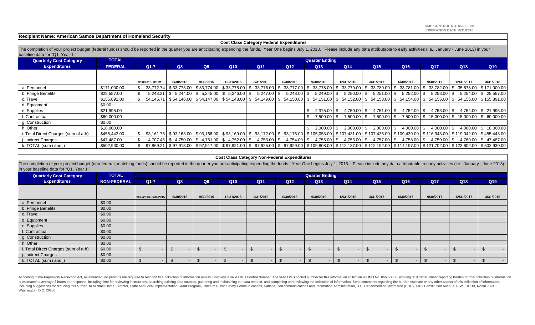**Recipient Name: American Samoa Department of Homeland Security**

#### **Cost Class Category Federal Expenditures**

The completion of your project budget (federal funds) should be reported in the quarter you are anticipating expending the funds. Year One begins July 1, 2013. Please include any data attributable to early activities (i.e. baseline data for "Q1, Year 1."

| <b>Quarterly Cost Category</b>      | <b>TOTAL</b>   |                   |                                                                 |           |                 |                                                                   |                      | <b>Quarter Ending</b>                                                                                                                                                         |                          |                     |                     |               |                                                            |                                                         |
|-------------------------------------|----------------|-------------------|-----------------------------------------------------------------|-----------|-----------------|-------------------------------------------------------------------|----------------------|-------------------------------------------------------------------------------------------------------------------------------------------------------------------------------|--------------------------|---------------------|---------------------|---------------|------------------------------------------------------------|---------------------------------------------------------|
| <b>Expenditures</b>                 | <b>FEDERAL</b> | $Q1-7$            | Q8                                                              | Q9        | Q <sub>10</sub> | Q11                                                               | Q <sub>12</sub>      | Q <sub>13</sub>                                                                                                                                                               | Q14                      | Q <sub>15</sub>     | Q16                 | Q17           | Q18                                                        | Q19                                                     |
|                                     |                |                   |                                                                 |           |                 |                                                                   |                      |                                                                                                                                                                               |                          |                     |                     |               |                                                            |                                                         |
|                                     |                | 9/30/2013-3/31/15 | 6/30/2015                                                       | 9/30/2015 | 12/31/2015      | 3/31/2016                                                         | 6/30/2016            | 9/30/2016                                                                                                                                                                     | 12/31/2016               | 3/31/2017           | 6/30/2017           | 9/30/2017     | 12/31/2017                                                 | 3/31/2018                                               |
| a. Personnel                        | \$171,000.00   |                   |                                                                 |           |                 | 33,772.74   \$33,773.00   \$33,774.00   \$33,775.00   \$33,776.00 | . SI<br>33,777.00 \$ |                                                                                                                                                                               | 33,778.00   \$ 33,779.00 | \$33,780.00         | \$                  |               |                                                            | 33,781.00   \$ 33,782.00   \$ 35,878.00   \$ 171,000.00 |
| b. Fringe Benefits                  | \$28,557.00    |                   | $5,243.31$   \$ $5,244.00$   \$ $5,245.00$   \$ $5,246.00$   \$ |           |                 | 5,247.00                                                          | 5,248.00             | $5,249.00$ \$                                                                                                                                                                 | 5,250.00                 | 5,251.00<br>-S      | 5,252.00            | $5,253.00$ \$ |                                                            | 5,254.00   \$ 28,557.00                                 |
| c. Travel                           | \$155,891.00   |                   |                                                                 |           |                 |                                                                   |                      | $54.145.71$ \$54.146.00 \$54.147.00 \$54.148.00 \$54.149.00 \$54.150.00 \$54.151.00 \$54.152.00 \$54.153.00                                                                   |                          |                     |                     |               | $$54,154.00 \;   \; $54,155.00 \;   \; $54,156.00 \;   \;$ | \$155,891.00                                            |
| d. Equipment                        | \$0.00         |                   |                                                                 |           |                 |                                                                   |                      |                                                                                                                                                                               |                          |                     |                     |               |                                                            |                                                         |
| e. Supplies                         | \$21,995.00    |                   |                                                                 |           |                 |                                                                   |                      | $2,375.00$ $\sqrt{5}$                                                                                                                                                         | 4,750.00                 | 4,751.00<br>- \$    | 4,752.00            | $4,753.00$ \$ |                                                            | 4,754.00   \$21,995.00                                  |
| f. Contractual                      | \$60,000.00    |                   |                                                                 |           |                 |                                                                   |                      | 7.500.00 \$                                                                                                                                                                   | 7.500.00                 | - \$<br>7.500.00    |                     |               |                                                            | 7,500.00   \$ 15,000.00   \$ 15,000.00   \$ 60,000.00   |
| g. Construction                     | \$0.00         |                   |                                                                 |           |                 |                                                                   |                      |                                                                                                                                                                               |                          |                     |                     |               |                                                            |                                                         |
| h. Other                            | \$18,000.00    |                   |                                                                 |           |                 |                                                                   |                      | $2,000.00$ \$                                                                                                                                                                 | 2.000.00                 | \$<br>$2,000.00$ \$ | $4,000.00$ \$       | 4,000.00 \$   |                                                            | 4,000.00   \$ 18,000.00                                 |
| . Total Direct Charges (sum of a-h) | \$455,443.00   |                   |                                                                 |           |                 |                                                                   |                      | 93,163.00 \$93,166.00 \$93,166.00 \$93,169.00 \$93,172.00 \$93,175.00 \$105,053.00 \$107,431.00 \$107,435.00 \$109,439.00 \$116,943.00 \$118,943.00 \$119,042.00 \$455,443.00 |                          |                     |                     |               |                                                            |                                                         |
| . Indirect Charges                  | \$47.487.00    |                   | $4,707.45$   \$ $4,750.00$   \$ $4,751.00$   \$ $4,752.00$   \$ |           |                 | $4,753.00$ \$                                                     | 4.754.00 \$          | 4,755.00 \$                                                                                                                                                                   | 4,756.00                 | \$<br>4,757.00      | 4,758.00 \$<br>- \$ | 4,759.00 \$   |                                                            | 4,760.00 \$47,487.00                                    |
| k. TOTAL (sum i and j)              | \$502,930.00   |                   |                                                                 |           |                 |                                                                   |                      | 97,869.21 \$97,913.00 \$97,917.00 \$97,921.00 \$97,925.00 \$97,929.00 \$109,808.00 \$112,187.00 \$112,192.00 \$114,197.00 \$121,702.00 \$123,802.00 \$502,930.00              |                          |                     |                     |               |                                                            |                                                         |

#### **Cost Class Category Non-Federal Expenditures**

The completion of your project budget (non-federal, matching funds) should be reported in the quarter you are anticipating expending the funds. Year One begins July 1, 2013. Please include any data attributable to early ac in your baseline data for "Q1, Year 1."

| <b>Quarterly Cost Category</b>       | <b>TOTAL</b>       |                     | <b>Quarter Ending</b> |           |            |           |           |                          |                |                 |           |            |            |           |
|--------------------------------------|--------------------|---------------------|-----------------------|-----------|------------|-----------|-----------|--------------------------|----------------|-----------------|-----------|------------|------------|-----------|
| <b>Expenditures</b>                  | <b>NON-FEDERAL</b> | $Q1-7$              | Q8                    | Q9        | Q10        | Q11       | Q12       | Q13                      | Q14            | Q <sub>15</sub> | Q16       | <b>Q17</b> | Q18        | Q19       |
|                                      |                    |                     |                       |           |            |           |           |                          |                |                 |           |            |            |           |
|                                      |                    | 9/30/2013-3/31/2015 | 6/30/2015             | 9/30/2015 | 12/31/2015 | 3/31/2016 | 6/30/2016 | 9/30/2016                | 12/31/2016     | 3/31/2017       | 6/30/2017 | 9/30/2017  | 12/31/2017 | 3/31/2018 |
| a. Personnel                         | \$0.00             |                     |                       |           |            |           |           |                          |                |                 |           |            |            |           |
| b. Fringe Benefits                   | \$0.00             |                     |                       |           |            |           |           |                          |                |                 |           |            |            |           |
| c. Travel                            | \$0.00             |                     |                       |           |            |           |           |                          |                |                 |           |            |            |           |
| d. Equipment                         | \$0.00             |                     |                       |           |            |           |           |                          |                |                 |           |            |            |           |
| e. Supplies                          | \$0.00             |                     |                       |           |            |           |           |                          |                |                 |           |            |            |           |
| f. Contractual                       | \$0.00             |                     |                       |           |            |           |           |                          |                |                 |           |            |            |           |
| g. Construction                      | \$0.00             |                     |                       |           |            |           |           |                          |                |                 |           |            |            |           |
| h. Other                             | \$0.00             |                     |                       |           |            |           |           |                          |                |                 |           |            |            |           |
| i. Total Direct Charges (sum of a-h) | \$0.00             |                     |                       |           |            |           |           |                          | $\blacksquare$ |                 |           | ۰.         |            |           |
| j. Indirect Charges                  | \$0.00             |                     |                       |           |            |           |           |                          |                |                 |           |            |            |           |
| k. TOTAL (sum i and j)               | \$0.00             | - 35                |                       |           | $\sim$     |           |           | $\overline{\phantom{0}}$ | $\blacksquare$ | $\sim$          |           | . უ        | <b>COL</b> | $\sim$    |

According to the Paperwork Reduction Act, as amended, no persons are required to respond to a collection of information unless it displays a valid OMB Control Number. The valid OMB control number for this information colle is estimated to average 3 hours per response, including time for reviewing instructions, searching existing data sources, gathering and maintaining the data needed, and completing and reviewing the collection of informatio including suggestions for reducing this burden, to Michael Dame, Director, State and Local Implementation Grant Program, Office of Public Safety Communications, National Telecommunications and Information Administration, U Washington, D.C. 20230.